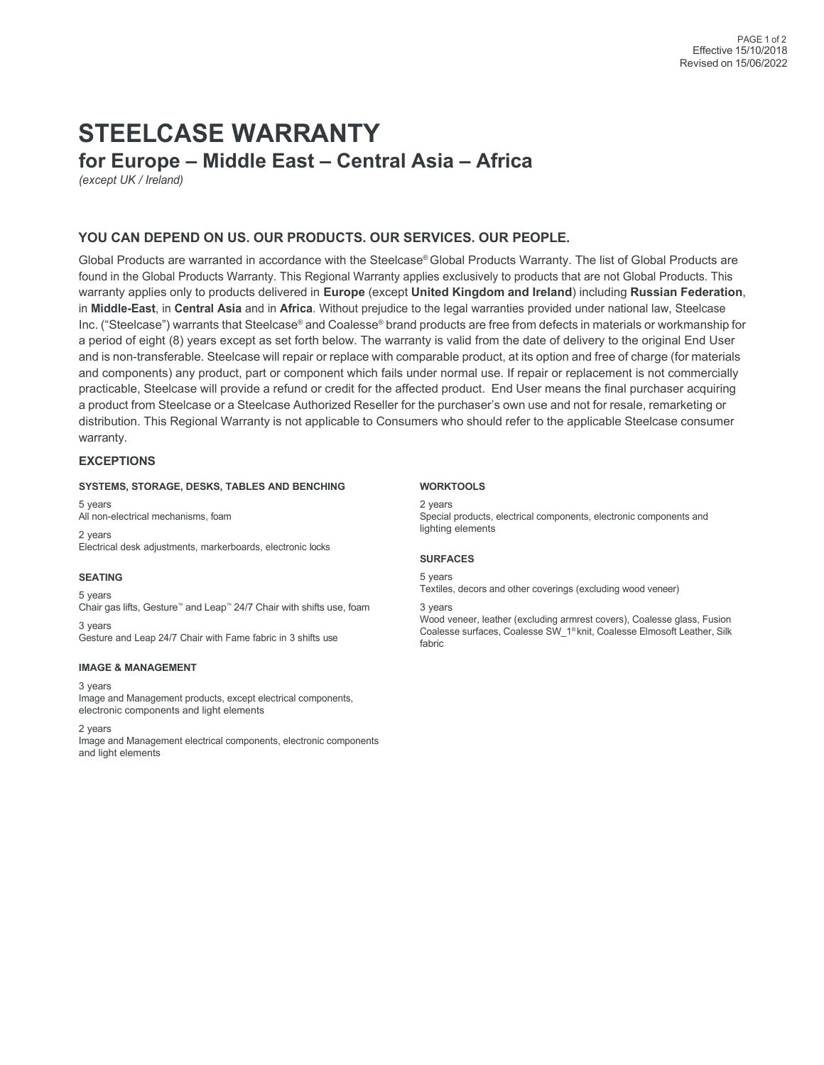# **STEELCASE WARRANTY for Europe – Middle East – Central Asia – Africa**

*(except UK / Ireland)*

### **YOU CAN DEPEND ON US. OUR PRODUCTS. OUR SERVICES. OUR PEOPLE.**

Global Products are warranted in accordance with the Steelcase® Global Products Warranty. The list of Global Products are found in the Global Products Warranty. This Regional Warranty applies exclusively to products that are not Global Products. This warranty applies only to products delivered in **Europe** (except **United Kingdom and Ireland**) including **Russian Federation**, in **Middle-East**, in **Central Asia** and in **Africa**. Without prejudice to the legal warranties provided under national law, Steelcase Inc. ("Steelcase") warrants that Steelcase® and Coalesse® brand products are free from defects in materials or workmanship for a period of eight (8) years except as set forth below. The warranty is valid from the date of delivery to the original End User and is non-transferable. Steelcase will repair or replace with comparable product, at its option and free of charge (for materials and components) any product, part or component which fails under normal use. If repair or replacement is not commercially practicable, Steelcase will provide a refund or credit for the affected product. End User means the final purchaser acquiring a product from Steelcase or a Steelcase Authorized Reseller for the purchaser's own use and not for resale, remarketing or distribution. This Regional Warranty is not applicable to Consumers who should refer to the applicable Steelcase consumer warranty.

#### **EXCEPTIONS**

#### **SYSTEMS, STORAGE, DESKS, TABLES AND BENCHING**

5 years All non-electrical mechanisms, foam 2 years Electrical desk adjustments, markerboards, electronic locks

#### **SEATING**

5 years Chair gas lifts, Gesture™ and Leap™ 24/7 Chair with shifts use, foam 3 years

Gesture and Leap 24/7 Chair with Fame fabric in 3 shifts use

#### **IMAGE & MANAGEMENT**

## 3 years

Image and Management products, except electrical components, electronic components and light elements

#### 2 years

Image and Management electrical components, electronic components and light elements

#### **WORKTOOLS**

2 years Special products, electrical components, electronic components and lighting elements

#### **SURFACES**

5 years

Textiles, decors and other coverings (excluding wood veneer)

3 years

Wood veneer, leather (excluding armrest covers), Coalesse glass, Fusion Coalesse surfaces, Coalesse SW\_1® knit, Coalesse Elmosoft Leather, Silk fabric